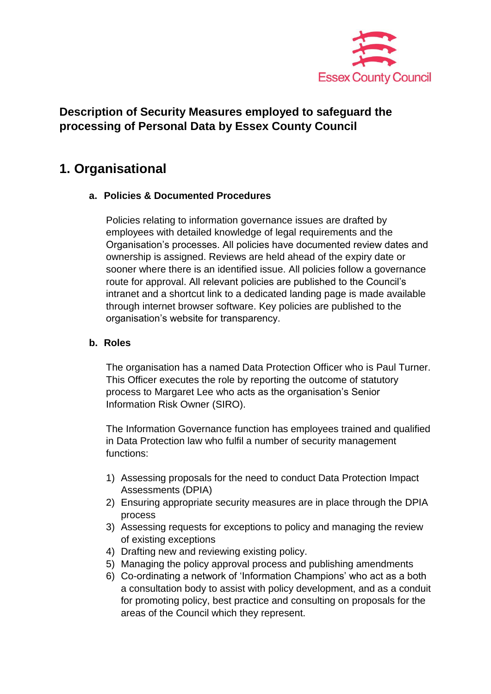

# **Description of Security Measures employed to safeguard the processing of Personal Data by Essex County Council**

# **1. Organisational**

# **a. Policies & Documented Procedures**

Policies relating to information governance issues are drafted by employees with detailed knowledge of legal requirements and the Organisation's processes. All policies have documented review dates and ownership is assigned. Reviews are held ahead of the expiry date or sooner where there is an identified issue. All policies follow a governance route for approval. All relevant policies are published to the Council's intranet and a shortcut link to a dedicated landing page is made available through internet browser software. Key policies are published to the organisation's website for transparency.

# **b. Roles**

The organisation has a named Data Protection Officer who is Paul Turner. This Officer executes the role by reporting the outcome of statutory process to Margaret Lee who acts as the organisation's Senior Information Risk Owner (SIRO).

The Information Governance function has employees trained and qualified in Data Protection law who fulfil a number of security management functions:

- 1) Assessing proposals for the need to conduct Data Protection Impact Assessments (DPIA)
- 2) Ensuring appropriate security measures are in place through the DPIA process
- 3) Assessing requests for exceptions to policy and managing the review of existing exceptions
- 4) Drafting new and reviewing existing policy.
- 5) Managing the policy approval process and publishing amendments
- 6) Co-ordinating a network of 'Information Champions' who act as a both a consultation body to assist with policy development, and as a conduit for promoting policy, best practice and consulting on proposals for the areas of the Council which they represent.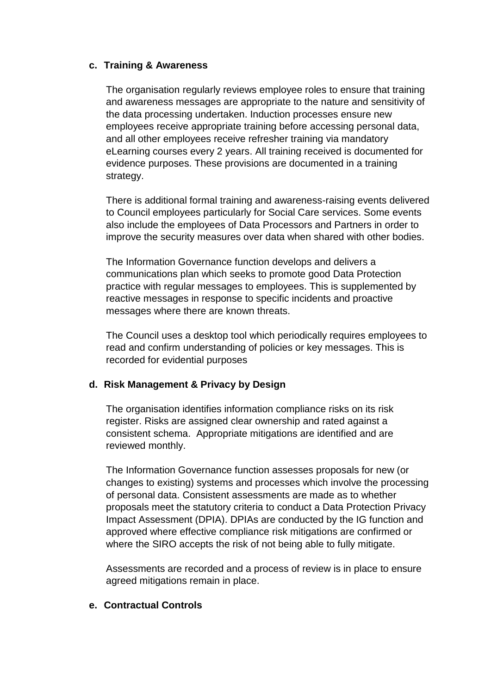# **c. Training & Awareness**

The organisation regularly reviews employee roles to ensure that training and awareness messages are appropriate to the nature and sensitivity of the data processing undertaken. Induction processes ensure new employees receive appropriate training before accessing personal data, and all other employees receive refresher training via mandatory eLearning courses every 2 years. All training received is documented for evidence purposes. These provisions are documented in a training strategy.

There is additional formal training and awareness-raising events delivered to Council employees particularly for Social Care services. Some events also include the employees of Data Processors and Partners in order to improve the security measures over data when shared with other bodies.

The Information Governance function develops and delivers a communications plan which seeks to promote good Data Protection practice with regular messages to employees. This is supplemented by reactive messages in response to specific incidents and proactive messages where there are known threats.

The Council uses a desktop tool which periodically requires employees to read and confirm understanding of policies or key messages. This is recorded for evidential purposes

# **d. Risk Management & Privacy by Design**

The organisation identifies information compliance risks on its risk register. Risks are assigned clear ownership and rated against a consistent schema. Appropriate mitigations are identified and are reviewed monthly.

The Information Governance function assesses proposals for new (or changes to existing) systems and processes which involve the processing of personal data. Consistent assessments are made as to whether proposals meet the statutory criteria to conduct a Data Protection Privacy Impact Assessment (DPIA). DPIAs are conducted by the IG function and approved where effective compliance risk mitigations are confirmed or where the SIRO accepts the risk of not being able to fully mitigate.

Assessments are recorded and a process of review is in place to ensure agreed mitigations remain in place.

# **e. Contractual Controls**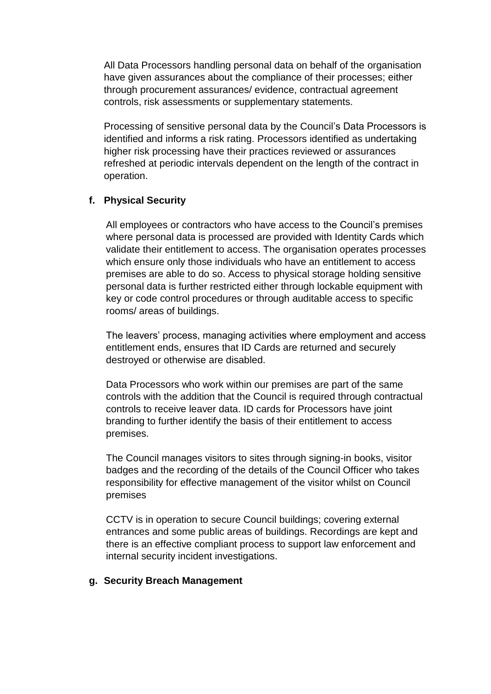All Data Processors handling personal data on behalf of the organisation have given assurances about the compliance of their processes; either through procurement assurances/ evidence, contractual agreement controls, risk assessments or supplementary statements.

Processing of sensitive personal data by the Council's Data Processors is identified and informs a risk rating. Processors identified as undertaking higher risk processing have their practices reviewed or assurances refreshed at periodic intervals dependent on the length of the contract in operation.

# **f. Physical Security**

All employees or contractors who have access to the Council's premises where personal data is processed are provided with Identity Cards which validate their entitlement to access. The organisation operates processes which ensure only those individuals who have an entitlement to access premises are able to do so. Access to physical storage holding sensitive personal data is further restricted either through lockable equipment with key or code control procedures or through auditable access to specific rooms/ areas of buildings.

The leavers' process, managing activities where employment and access entitlement ends, ensures that ID Cards are returned and securely destroyed or otherwise are disabled.

Data Processors who work within our premises are part of the same controls with the addition that the Council is required through contractual controls to receive leaver data. ID cards for Processors have joint branding to further identify the basis of their entitlement to access premises.

The Council manages visitors to sites through signing-in books, visitor badges and the recording of the details of the Council Officer who takes responsibility for effective management of the visitor whilst on Council premises

CCTV is in operation to secure Council buildings; covering external entrances and some public areas of buildings. Recordings are kept and there is an effective compliant process to support law enforcement and internal security incident investigations.

# **g. Security Breach Management**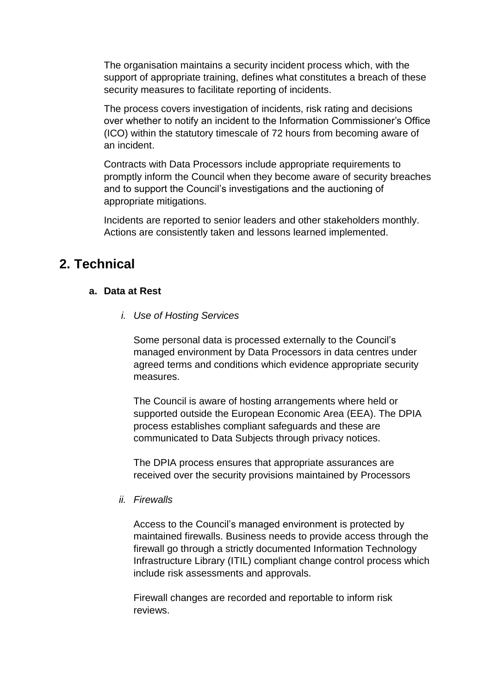The organisation maintains a security incident process which, with the support of appropriate training, defines what constitutes a breach of these security measures to facilitate reporting of incidents.

The process covers investigation of incidents, risk rating and decisions over whether to notify an incident to the Information Commissioner's Office (ICO) within the statutory timescale of 72 hours from becoming aware of an incident.

Contracts with Data Processors include appropriate requirements to promptly inform the Council when they become aware of security breaches and to support the Council's investigations and the auctioning of appropriate mitigations.

Incidents are reported to senior leaders and other stakeholders monthly. Actions are consistently taken and lessons learned implemented.

# **2. Technical**

# **a. Data at Rest**

*i. Use of Hosting Services*

Some personal data is processed externally to the Council's managed environment by Data Processors in data centres under agreed terms and conditions which evidence appropriate security measures.

The Council is aware of hosting arrangements where held or supported outside the European Economic Area (EEA). The DPIA process establishes compliant safeguards and these are communicated to Data Subjects through privacy notices.

The DPIA process ensures that appropriate assurances are received over the security provisions maintained by Processors

# *ii. Firewalls*

Access to the Council's managed environment is protected by maintained firewalls. Business needs to provide access through the firewall go through a strictly documented Information Technology Infrastructure Library (ITIL) compliant change control process which include risk assessments and approvals.

Firewall changes are recorded and reportable to inform risk reviews.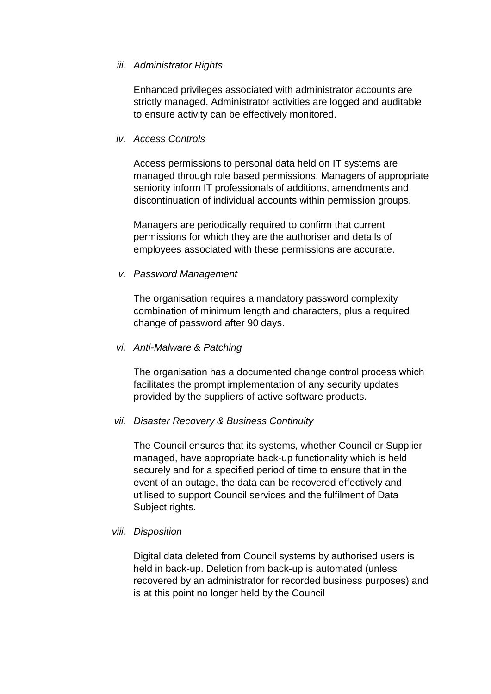#### *iii. Administrator Rights*

Enhanced privileges associated with administrator accounts are strictly managed. Administrator activities are logged and auditable to ensure activity can be effectively monitored.

#### *iv. Access Controls*

Access permissions to personal data held on IT systems are managed through role based permissions. Managers of appropriate seniority inform IT professionals of additions, amendments and discontinuation of individual accounts within permission groups.

Managers are periodically required to confirm that current permissions for which they are the authoriser and details of employees associated with these permissions are accurate.

#### *v. Password Management*

The organisation requires a mandatory password complexity combination of minimum length and characters, plus a required change of password after 90 days.

#### *vi. Anti-Malware & Patching*

The organisation has a documented change control process which facilitates the prompt implementation of any security updates provided by the suppliers of active software products.

#### *vii. Disaster Recovery & Business Continuity*

The Council ensures that its systems, whether Council or Supplier managed, have appropriate back-up functionality which is held securely and for a specified period of time to ensure that in the event of an outage, the data can be recovered effectively and utilised to support Council services and the fulfilment of Data Subject rights.

#### *viii. Disposition*

Digital data deleted from Council systems by authorised users is held in back-up. Deletion from back-up is automated (unless recovered by an administrator for recorded business purposes) and is at this point no longer held by the Council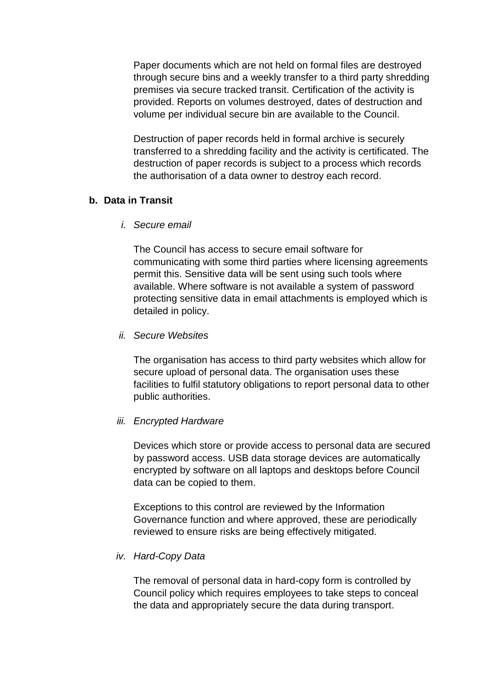Paper documents which are not held on formal files are destroyed through secure bins and a weekly transfer to a third party shredding premises via secure tracked transit. Certification of the activity is provided. Reports on volumes destroyed, dates of destruction and volume per individual secure bin are available to the Council.

Destruction of paper records held in formal archive is securely transferred to a shredding facility and the activity is certificated. The destruction of paper records is subject to a process which records the authorisation of a data owner to destroy each record.

# **b. Data in Transit**

*i. Secure email*

The Council has access to secure email software for communicating with some third parties where licensing agreements permit this. Sensitive data will be sent using such tools where available. Where software is not available a system of password protecting sensitive data in email attachments is employed which is detailed in policy.

# *ii. Secure Websites*

The organisation has access to third party websites which allow for secure upload of personal data. The organisation uses these facilities to fulfil statutory obligations to report personal data to other public authorities.

# *iii. Encrypted Hardware*

Devices which store or provide access to personal data are secured by password access. USB data storage devices are automatically encrypted by software on all laptops and desktops before Council data can be copied to them.

Exceptions to this control are reviewed by the Information Governance function and where approved, these are periodically reviewed to ensure risks are being effectively mitigated.

# *iv. Hard-Copy Data*

The removal of personal data in hard-copy form is controlled by Council policy which requires employees to take steps to conceal the data and appropriately secure the data during transport.